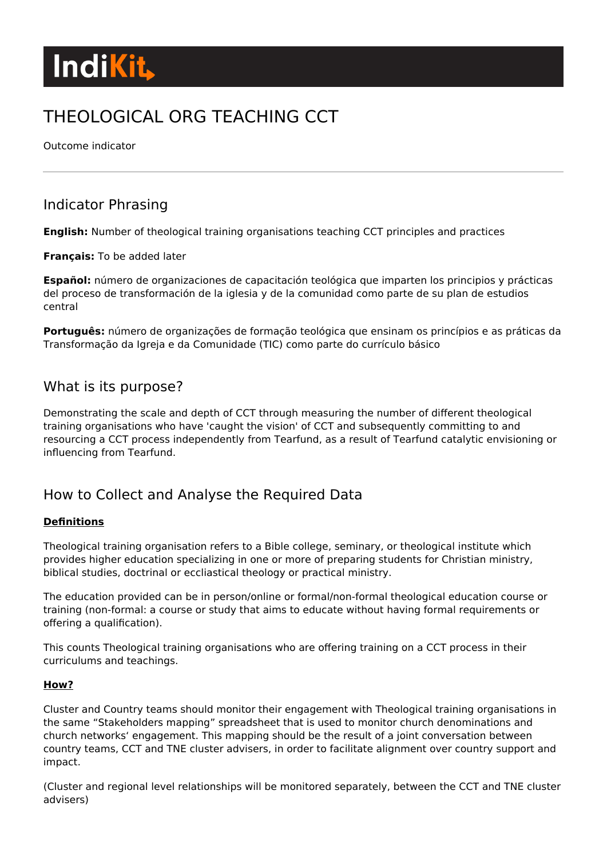

# THEOLOGICAL ORG TEACHING CCT

Outcome indicator

# Indicator Phrasing

**English:** Number of theological training organisations teaching CCT principles and practices

#### **Français:** To be added later

**Español:** número de organizaciones de capacitación teológica que imparten los principios y prácticas del proceso de transformación de la iglesia y de la comunidad como parte de su plan de estudios central

**Português:** número de organizações de formação teológica que ensinam os princípios e as práticas da Transformação da Igreja e da Comunidade (TIC) como parte do currículo básico

# What is its purpose?

Demonstrating the scale and depth of CCT through measuring the number of different theological training organisations who have 'caught the vision' of CCT and subsequently committing to and resourcing a CCT process independently from Tearfund, as a result of Tearfund catalytic envisioning or influencing from Tearfund.

# How to Collect and Analyse the Required Data

#### **Definitions**

Theological training organisation refers to a Bible college, seminary, or theological institute which provides higher education specializing in one or more of preparing students for Christian ministry, biblical studies, doctrinal or eccliastical theology or practical ministry.

The education provided can be in person/online or formal/non-formal theological education course or training (non-formal: a course or study that aims to educate without having formal requirements or offering a qualification).

This counts Theological training organisations who are offering training on a CCT process in their curriculums and teachings.

#### **How?**

Cluster and Country teams should monitor their engagement with Theological training organisations in the same "Stakeholders mapping" spreadsheet that is used to monitor church denominations and church networks' engagement. This mapping should be the result of a joint conversation between country teams, CCT and TNE cluster advisers, in order to facilitate alignment over country support and impact.

(Cluster and regional level relationships will be monitored separately, between the CCT and TNE cluster advisers)